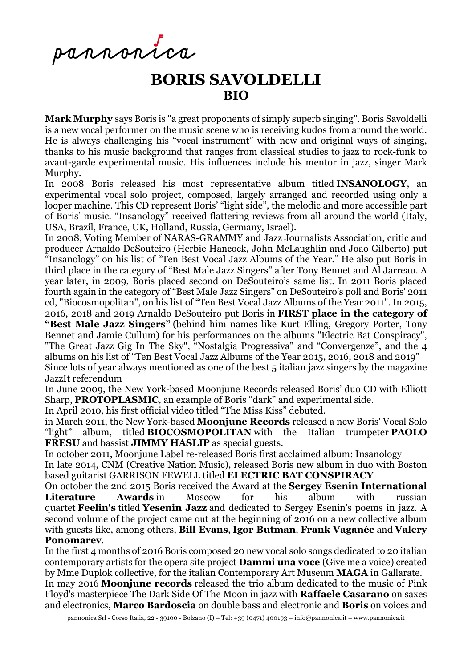pannontca

# **BORIS SAVOLDELLI BIO**

**Mark Murphy** says Boris is "a great proponents of simply superb singing". Boris Savoldelli is a new vocal performer on the music scene who is receiving kudos from around the world. He is always challenging his "vocal instrument" with new and original ways of singing, thanks to his music background that ranges from classical studies to jazz to rock-funk to avant-garde experimental music. His influences include his mentor in jazz, singer Mark Murphy.

In 2008 Boris released his most representative album titled **INSANOLOGY**, an experimental vocal solo project, composed, largely arranged and recorded using only a looper machine. This CD represent Boris' "light side", the melodic and more accessible part of Boris' music. "Insanology" received flattering reviews from all around the world (Italy, USA, Brazil, France, UK, Holland, Russia, Germany, Israel).

In 2008, Voting Member of NARAS-GRAMMY and Jazz Journalists Association, critic and producer Arnaldo DeSouteiro (Herbie Hancock, John McLaughlin and Joao Gilberto) put "Insanology" on his list of "Ten Best Vocal Jazz Albums of the Year." He also put Boris in third place in the category of "Best Male Jazz Singers" after Tony Bennet and Al Jarreau. A year later, in 2009, Boris placed second on DeSouteiro's same list. In 2011 Boris placed fourth again in the category of "Best Male Jazz Singers" on DeSouteiro's poll and Boris' 2011 cd, "Biocosmopolitan", on his list of "Ten Best Vocal Jazz Albums of the Year 2011". In 2015, 2016, 2018 and 2019 Arnaldo DeSouteiro put Boris in **FIRST place in the category of "Best Male Jazz Singers"** (behind him names like Kurt Elling, Gregory Porter, Tony Bennet and Jamie Cullum) for his performances on the albums "Electric Bat Conspiracy", "The Great Jazz Gig In The Sky", "Nostalgia Progressiva" and "Convergenze", and the 4 albums on his list of "Ten Best Vocal Jazz Albums of the Year 2015, 2016, 2018 and 2019" Since lots of year always mentioned as one of the best 5 italian jazz singers by the magazine JazzIt referendum

In June 2009, the New York-based Moonjune Records released Boris' duo CD with Elliott Sharp, **PROTOPLASMIC**, an example of Boris "dark" and experimental side.

In April 2010, his first official video titled "The Miss Kiss" debuted.

in March 2011, the New York-based **Moonjune Records** released a new Boris' Vocal Solo "light" album, titled **BIOCOSMOPOLITAN** with the Italian trumpeter **PAOLO FRESU** and bassist **JIMMY HASLIP** as special guests.

In october 2011, Moonjune Label re-released Boris first acclaimed album: Insanology

In late 2014, CNM (Creative Nation Music), released Boris new album in duo with Boston based guitarist GARRISON FEWELL titled **ELECTRIC BAT CONSPIRACY**

On october the 2nd 2015 Boris received the Award at the **Sergey Esenin International Literature Awards** in Moscow for his album with russian quartet **Feelin's** titled **Yesenin Jazz** and dedicated to Sergey Esenin's poems in jazz. A second volume of the project came out at the beginning of 2016 on a new collective album with guests like, among others, **Bill Evans**, **Igor Butman**, **Frank Vaganée** and **Valery Ponomarev**.

In the first 4 months of 2016 Boris composed 20 new vocal solo songs dedicated to 20 italian contemporary artists for the opera site project **Dammi una voce** (Give me a voice) created by Mme Duplok collective, for the italian Contemporary Art Museum **MAGA** in Gallarate.

In may 2016 **Moonjune records** released the trio album dedicated to the music of Pink Floyd's masterpiece The Dark Side Of The Moon in jazz with **Raffaele Casarano** on saxes and electronics, **Marco Bardoscia** on double bass and electronic and **Boris** on voices and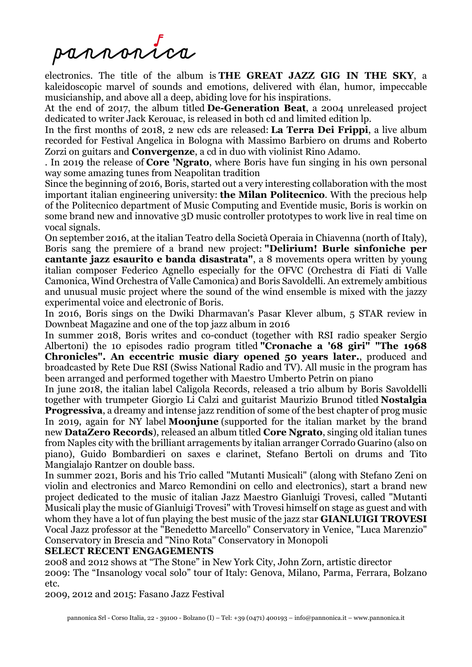pannonica

electronics. The title of the album is **THE GREAT JAZZ GIG IN THE SKY**, a kaleidoscopic marvel of sounds and emotions, delivered with élan, humor, impeccable musicianship, and above all a deep, abiding love for his inspirations.

At the end of 2017, the album titled **De-Generation Beat**, a 2004 unreleased project dedicated to writer Jack Kerouac, is released in both cd and limited edition lp.

In the first months of 2018, 2 new cds are released: **La Terra Dei Frippi**, a live album recorded for Festival Angelica in Bologna with Massimo Barbiero on drums and Roberto Zorzi on guitars and **Convergenze**, a cd in duo with violinist Rino Adamo.

. In 2019 the release of **Core 'Ngrato**, where Boris have fun singing in his own personal way some amazing tunes from Neapolitan tradition

Since the beginning of 2016, Boris, started out a very interesting collaboration with the most important italian engineering university: **the Milan Politecnico**. With the precious help of the Politecnico department of Music Computing and Eventide music, Boris is workin on some brand new and innovative 3D music controller prototypes to work live in real time on vocal signals.

On september 2016, at the italian Teatro della Società Operaia in Chiavenna (north of Italy), Boris sang the premiere of a brand new project: **"Delirium! Burle sinfoniche per cantante jazz esaurito e banda disastrata"**, a 8 movements opera written by young italian composer Federico Agnello especially for the OFVC (Orchestra di Fiati di Valle Camonica, Wind Orchestra of Valle Camonica) and Boris Savoldelli. An extremely ambitious and unusual music project where the sound of the wind ensemble is mixed with the jazzy experimental voice and electronic of Boris.

In 2016, Boris sings on the Dwiki Dharmavan's Pasar Klever album, 5 STAR review in Downbeat Magazine and one of the top jazz album in 2016

In summer 2018, Boris writes and co-conduct (together with RSI radio speaker Sergio Albertoni) the 10 episodes radio program titled **"Cronache a '68 giri" "The 1968 Chronicles". An eccentric music diary opened 50 years later.**, produced and broadcasted by Rete Due RSI (Swiss National Radio and TV). All music in the program has been arranged and performed together with Maestro Umberto Petrin on piano

In june 2018, the italian label Caligola Records, released a trio album by Boris Savoldelli together with trumpeter Giorgio Li Calzi and guitarist Maurizio Brunod titled **Nostalgia Progressiva**, a dreamy and intense jazz rendition of some of the best chapter of prog music In 2019, again for NY label **Moonjune** (supported for the italian market by the brand new **DataZero Records**), released an album titled **Core Ngrato**, singing old italian tunes from Naples city with the brilliant arragements by italian arranger Corrado Guarino (also on piano), Guido Bombardieri on saxes e clarinet, Stefano Bertoli on drums and Tito Mangialajo Rantzer on double bass.

In summer 2021, Boris and his Trio called "Mutanti Musicali" (along with Stefano Zeni on violin and electronics and Marco Remondini on cello and electronics), start a brand new project dedicated to the music of italian Jazz Maestro Gianluigi Trovesi, called "Mutanti Musicali play the music of Gianluigi Trovesi" with Trovesi himself on stage as guest and with whom they have a lot of fun playing the best music of the jazz star **GIANLUIGI TROVESI** Vocal Jazz professor at the "Benedetto Marcello" Conservatory in Venice, "Luca Marenzio" Conservatory in Brescia and "Nino Rota" Conservatory in Monopoli

### **SELECT RECENT ENGAGEMENTS**

2008 and 2012 shows at "The Stone" in New York City, John Zorn, artistic director 2009: The "Insanology vocal solo" tour of Italy: Genova, Milano, Parma, Ferrara, Bolzano etc.

2009, 2012 and 2015: Fasano Jazz Festival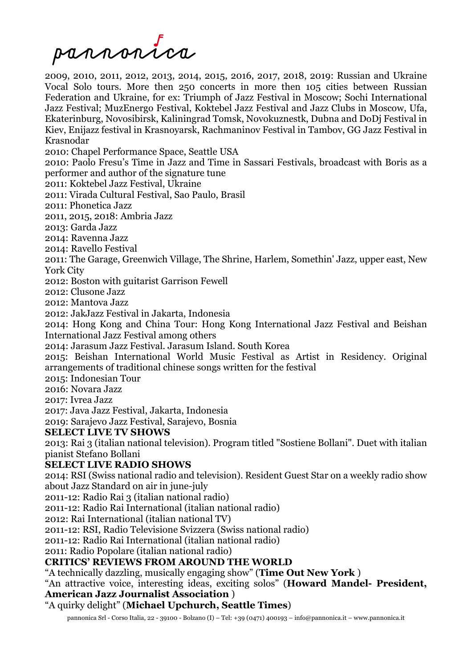

2009, 2010, 2011, 2012, 2013, 2014, 2015, 2016, 2017, 2018, 2019: Russian and Ukraine Vocal Solo tours. More then 250 concerts in more then 105 cities between Russian Federation and Ukraine, for ex: Triumph of Jazz Festival in Moscow; Sochi International Jazz Festival; MuzEnergo Festival, Koktebel Jazz Festival and Jazz Clubs in Moscow, Ufa, Ekaterinburg, Novosibirsk, Kaliningrad Tomsk, Novokuznestk, Dubna and DoDj Festival in Kiev, Enijazz festival in Krasnoyarsk, Rachmaninov Festival in Tambov, GG Jazz Festival in Krasnodar

2010: Chapel Performance Space, Seattle USA

2010: Paolo Fresu's Time in Jazz and Time in Sassari Festivals, broadcast with Boris as a performer and author of the signature tune

2011: Koktebel Jazz Festival, Ukraine

2011: Virada Cultural Festival, Sao Paulo, Brasil

2011: Phonetica Jazz

2011, 2015, 2018: Ambria Jazz

2013: Garda Jazz

2014: Ravenna Jazz

2014: Ravello Festival

2011: The Garage, Greenwich Village, The Shrine, Harlem, Somethin' Jazz, upper east, New York City

2012: Boston with guitarist Garrison Fewell

2012: Clusone Jazz

2012: Mantova Jazz

2012: JakJazz Festival in Jakarta, Indonesia

2014: Hong Kong and China Tour: Hong Kong International Jazz Festival and Beishan International Jazz Festival among others

2014: Jarasum Jazz Festival. Jarasum Island. South Korea

2015: Beishan International World Music Festival as Artist in Residency. Original arrangements of traditional chinese songs written for the festival

2015: Indonesian Tour

2016: Novara Jazz

2017: Ivrea Jazz

2017: Java Jazz Festival, Jakarta, Indonesia

2019: Sarajevo Jazz Festival, Sarajevo, Bosnia

### **SELECT LIVE TV SHOWS**

2013: Rai 3 (italian national television). Program titled "Sostiene Bollani". Duet with italian pianist Stefano Bollani

### **SELECT LIVE RADIO SHOWS**

2014: RSI (Swiss national radio and television). Resident Guest Star on a weekly radio show about Jazz Standard on air in june-july

2011-12: Radio Rai 3 (italian national radio)

2011-12: Radio Rai International (italian national radio)

2012: Rai International (italian national TV)

2011-12: RSI, Radio Televisione Svizzera (Swiss national radio)

2011-12: Radio Rai International (italian national radio)

2011: Radio Popolare (italian national radio)

### **CRITICS' REVIEWS FROM AROUND THE WORLD**

"A technically dazzling, musically engaging show" (**Time Out New York** )

"An attractive voice, interesting ideas, exciting solos" (**Howard Mandel- President, American Jazz Journalist Association** )

## "A quirky delight" (**Michael Upchurch, Seattle Times**)

pannonica Srl - Corso Italia, 22 - 39100 - Bolzano (I) – Tel: +39 (0471) 400193 – info@pannonica.it – www.pannonica.it